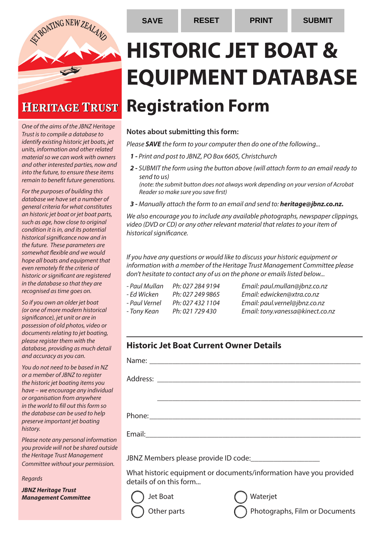

## **HERITAGE TRUST**

*One of the aims of the JBNZ Heritage Trust is to compile a database to identify existing historic jet boats, jet units, information and other related material so we can work with owners and other interested parties, now and into the future, to ensure these items remain to benefit future generations.*

*For the purposes of building this database we have set a number of general criteria for what constitutes an historic jet boat or jet boat parts, such as age, how close to original condition it is in, and its potential historical significance now and in the future. These parameters are somewhat flexible and we would hope all boats and equipment that even remotely fit the criteria of historic or significant are registered in the database so that they are recognised as time goes on.* 

*So if you own an older jet boat (or one of more modern historical significance), jet unit or are in possession of old photos, video or documents relating to jet boating, please register them with the database, providing as much detail and accuracy as you can.* 

*You do not need to be based in NZ or a member of JBNZ to register the historic jet boating items you have – we encourage any individual or organisation from anywhere in the world to fill out this form so the database can be used to help preserve important jet boating history.*

*Please note any personal information you provide will not be shared outside the Heritage Trust Management Committee without your permission.*

*Regards*

*JBNZ Heritage Trust Management Committee* 

# **HISTORIC JET BOAT & EQUIPMENT DATABASE Registration Form**

#### **Notes about submitting this form:**

*Please SAVE the form to your computer then do one of the following...*

- *1 Print and post to JBNZ, PO Box 6605, Christchurch*
- *2 SUBMIT the form using the button above (will attach form to an email ready to send to us)*

*(note: the submit button does not always work depending on your version of Acrobat Reader so make sure you save first)*

*3 - Manually attach the form to an email and send to: heritage@jbnz.co.nz.* 

*We also encourage you to include any available photographs, newspaper clippings, video (DVD or CD) or any other relevant material that relates to your item of historical significance.*

*If you have any questions or would like to discuss your historic equipment or information with a member of the Heritage Trust Management Committee please don't hesitate to contact any of us on the phone or emails listed below...*

- -

*- Paul Mullan Ph: 027 284 9194 Email: paul.mullan@jbnz.co.nz - Ed Wicken Ph: 027 249 9865 Email: edwicken@xtra.co.nz - Paul Vernel Ph: 027 432 1104 Email: paul.vernel@jbnz.co.nz - Tony Kean Ph: 021 729 430 Email: tony.vanessa@kinect.co.nz*

#### **Historic Jet Boat Current Owner Details**

| JBNZ Members please provide ID code:<br>What historic equipment or documents/information have you provided |  |  |
|------------------------------------------------------------------------------------------------------------|--|--|
| details of on this form                                                                                    |  |  |
| Jet Boat<br>Waterjet                                                                                       |  |  |



Other parts  $\bigcap$  Photographs, Film or Documents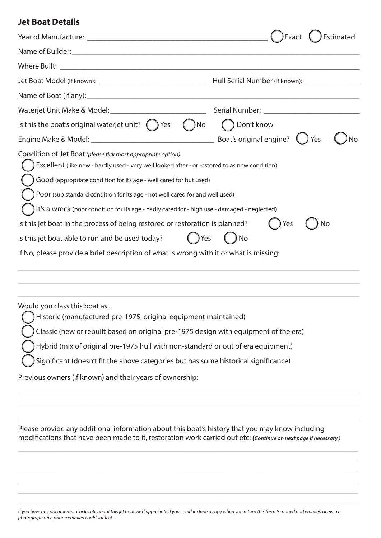#### **Jet Boat Details**

| Year of Manufacture: Lawrence and Contractor Contractor Contractor Contractor Contractor Contractor Contractor                                                                                                                                                                                                                                                                                                                                                                                                                                                                                                                                         | Estimated<br>Exact |
|--------------------------------------------------------------------------------------------------------------------------------------------------------------------------------------------------------------------------------------------------------------------------------------------------------------------------------------------------------------------------------------------------------------------------------------------------------------------------------------------------------------------------------------------------------------------------------------------------------------------------------------------------------|--------------------|
| Name of Builder: Name of Builder:                                                                                                                                                                                                                                                                                                                                                                                                                                                                                                                                                                                                                      |                    |
|                                                                                                                                                                                                                                                                                                                                                                                                                                                                                                                                                                                                                                                        |                    |
|                                                                                                                                                                                                                                                                                                                                                                                                                                                                                                                                                                                                                                                        |                    |
|                                                                                                                                                                                                                                                                                                                                                                                                                                                                                                                                                                                                                                                        |                    |
|                                                                                                                                                                                                                                                                                                                                                                                                                                                                                                                                                                                                                                                        |                    |
| Is this the boat's original waterjet unit? $($ $)$ Yes<br>$( )$ No                                                                                                                                                                                                                                                                                                                                                                                                                                                                                                                                                                                     | ◯ Don't know       |
|                                                                                                                                                                                                                                                                                                                                                                                                                                                                                                                                                                                                                                                        | ) Yes              |
| Condition of Jet Boat (please tick most appropriate option)<br>Excellent (like new - hardly used - very well looked after - or restored to as new condition)<br>Good (appropriate condition for its age - well cared for but used)<br>Poor (sub standard condition for its age - not well cared for and well used)<br>It's a wreck (poor condition for its age - badly cared for - high use - damaged - neglected)<br>Is this jet boat in the process of being restored or restoration is planned?<br>Is this jet boat able to run and be used today?<br>Yes<br>If No, please provide a brief description of what is wrong with it or what is missing: | Yes<br>No<br>) No  |
| Would you class this boat as<br>Historic (manufactured pre-1975, original equipment maintained)<br>Classic (new or rebuilt based on original pre-1975 design with equipment of the era)<br>Hybrid (mix of original pre-1975 hull with non-standard or out of era equipment)                                                                                                                                                                                                                                                                                                                                                                            |                    |

Significant (doesn't fit the above categories but has some historical significance)

Previous owners (if known) and their years of ownership:

Please provide any additional information about this boat's history that you may know including modifications that have been made to it, restoration work carried out etc: *(Continue on next page if necessary.)*

 $\_$  , and the contribution of the contribution of the contribution of the contribution of the contribution of  $\mathcal{L}_\text{max}$ 

 $\_$  ,  $\_$  ,  $\_$  ,  $\_$  ,  $\_$  ,  $\_$  ,  $\_$  ,  $\_$  ,  $\_$  ,  $\_$  ,  $\_$  ,  $\_$  ,  $\_$  ,  $\_$  ,  $\_$  ,  $\_$  ,  $\_$  ,  $\_$  ,  $\_$  ,  $\_$  ,  $\_$  ,  $\_$  ,  $\_$  ,  $\_$  ,  $\_$  ,  $\_$  ,  $\_$  ,  $\_$  ,  $\_$  ,  $\_$  ,  $\_$  ,  $\_$  ,  $\_$  ,  $\_$  ,  $\_$  ,  $\_$  ,  $\_$  ,

*If you have any documents, articles etc about this jet boat we'd appreciate if you could include a copy when you return this form (scanned and emailed or even a photograph on a phone emailed could suffice).*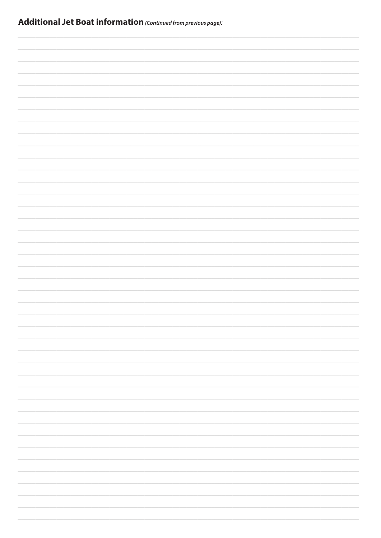|  |  | <b>Additional Jet Boat information</b> (Continued from previous page): |
|--|--|------------------------------------------------------------------------|
|--|--|------------------------------------------------------------------------|